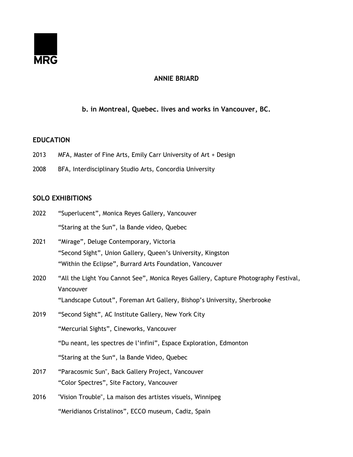

# **ANNIE BRIARD**

# **b. in Montreal, Quebec. lives and works in Vancouver, BC.**

### **EDUCATION**

- 2013 MFA, Master of Fine Arts, Emily Carr University of Art + Design
- 2008 BFA, Interdisciplinary Studio Arts, Concordia University

## **SOLO EXHIBITIONS**

- 2022 "Superlucent", Monica Reyes Gallery, Vancouver "Staring at the Sun", la Bande video, Quebec
- 2021 "Mirage", Deluge Contemporary, Victoria "Second Sight", Union Gallery, Queen's University, Kingston "Within the Eclipse", Burrard Arts Foundation, Vancouver
- 2020 "All the Light You Cannot See", Monica Reyes Gallery, Capture Photography Festival, Vancouver "Landscape Cutout", Foreman Art Gallery, Bishop's University, Sherbrooke
- 2019 "Second Sight", AC Institute Gallery, New York City "Mercurial Sights", Cineworks, Vancouver "Du neant, les spectres de l'infini", Espace Exploration, Edmonton "Staring at the Sun", la Bande Video, Quebec
- 2017 "Paracosmic Sun", Back Gallery Project, Vancouver "Color Spectres", Site Factory, Vancouver
- 2016 "Vision Trouble", La maison des artistes visuels, Winnipeg "Meridianos Cristalinos", ECCO museum, Cadiz, Spain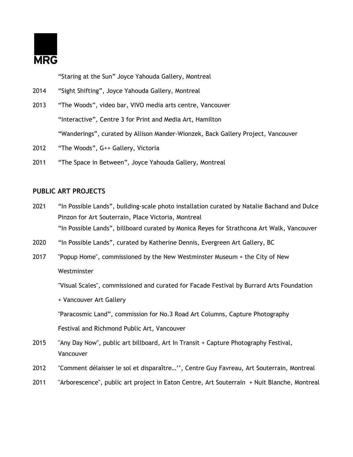

"Staring at the Sun" Joyce Yahouda Gallery, Montreal

- 2014 "Sight Shifting", Joyce Yahouda Gallery, Montreal
- 2013 "The Woods", video bar, VIVO media arts centre, Vancouver "Interactive", Centre 3 for Print and Media Art, Hamilton "Wanderings", curated by Allison Mander-Wionzek, Back Gallery Project, Vancouver
- 2012 "The Woods", G++ Gallery, Victoria
- 2011 "The Space in Between", Joyce Yahouda Gallery, Montreal

# **PUBLIC ART PROJECTS**

- 2021 "In Possible Lands", building-scale photo installation curated by Natalie Bachand and Dulce Pinzon for Art Souterrain, Place Victoria, Montreal "In Possible Lands", billboard curated by Monica Reyes for Strathcona Art Walk, Vancouver
- 2020 "In Possible Lands", curated by Katherine Dennis, Evergreen Art Gallery, BC
- 2017 "Popup Home", commissioned by the New Westminster Museum + the City of New Westminster

"Visual Scales", commissioned and curated for Facade Festival by Burrard Arts Foundation

+ Vancouver Art Gallery

"Paracosmic Land", commission for No.3 Road Art Columns, Capture Photography

Festival and Richmond Public Art, Vancouver

- 2015 "Any Day Now", public art billboard, Art In Transit + Capture Photography Festival, Vancouver
- 2012 "Comment délaisser le sol et disparaître...", Centre Guy Favreau, Art Souterrain, Montreal
- 2011 "Arborescence", public art project in Eaton Centre, Art Souterrain + Nuit Blanche, Montreal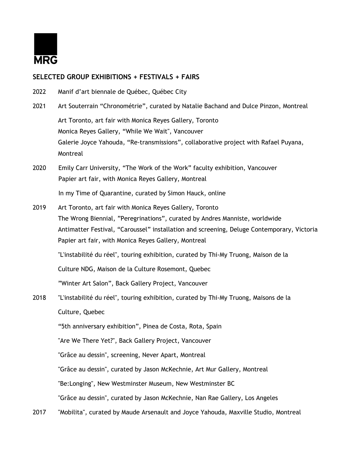

## **SELECTED GROUP EXHIBITIONS + FESTIVALS + FAIRS**

- 2022 Manif d'art biennale de Québec, Québec City
- 2021 Art Souterrain "Chronométrie", curated by Natalie Bachand and Dulce Pinzon, Montreal Art Toronto, art fair with Monica Reyes Gallery, Toronto Monica Reyes Gallery, "While We Wait", Vancouver Galerie Joyce Yahouda, "Re-transmissions", collaborative project with Rafael Puyana, Montreal
- 2020 Emily Carr University, "The Work of the Work" faculty exhibition, Vancouver Papier art fair, with Monica Reyes Gallery, Montreal

In my Time of Quarantine, curated by Simon Hauck, online

2019 Art Toronto, art fair with Monica Reyes Gallery, Toronto The Wrong Biennial, "Peregrinations", curated by Andres Manniste, worldwide Antimatter Festival, "Caroussel" installation and screening, Deluge Contemporary, Victoria Papier art fair, with Monica Reyes Gallery, Montreal

''L'instabilité du réel'', touring exhibition, curated by Thi-My Truong, Maison de la

Culture NDG, Maison de la Culture Rosemont, Quebec

"Winter Art Salon", Back Gallery Project, Vancouver

2018 ''L'instabilité du réel'', touring exhibition, curated by Thi-My Truong, Maisons de la Culture, Quebec

"5th anniversary exhibition", Pinea de Costa, Rota, Spain

"Are We There Yet?", Back Gallery Project, Vancouver

"Grâce au dessin", screening, Never Apart, Montreal

"Grâce au dessin", curated by Jason McKechnie, Art Mur Gallery, Montreal

"Be:Longing", New Westminster Museum, New Westminster BC

"Grâce au dessin", curated by Jason McKechnie, Nan Rae Gallery, Los Angeles

2017 "Mobilita", curated by Maude Arsenault and Joyce Yahouda, Maxville Studio, Montreal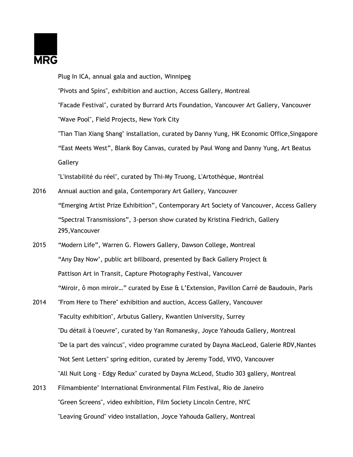

|      | Plug In ICA, annual gala and auction, Winnipeg                                                  |
|------|-------------------------------------------------------------------------------------------------|
|      | "Pivots and Spins", exhibition and auction, Access Gallery, Montreal                            |
|      | "Facade Festival", curated by Burrard Arts Foundation, Vancouver Art Gallery, Vancouver         |
|      | "Wave Pool", Field Projects, New York City                                                      |
|      | "Tian Tian Xiang Shang" installation, curated by Danny Yung, HK Economic Office, Singapore      |
|      | "East Meets West", Blank Boy Canvas, curated by Paul Wong and Danny Yung, Art Beatus            |
|      | Gallery                                                                                         |
|      | "L'instabilité du réel", curated by Thi-My Truong, L'Artothèque, Montréal                       |
| 2016 | Annual auction and gala, Contemporary Art Gallery, Vancouver                                    |
|      | "Emerging Artist Prize Exhibition", Contemporary Art Society of Vancouver, Access Gallery       |
|      | "Spectral Transmissions", 3-person show curated by Kristina Fiedrich, Gallery<br>295, Vancouver |
| 2015 | "Modern Life", Warren G. Flowers Gallery, Dawson College, Montreal                              |
|      | "Any Day Now', public art billboard, presented by Back Gallery Project &                        |
|      | Pattison Art in Transit, Capture Photography Festival, Vancouver                                |
|      | "Miroir, ô mon miroir" curated by Esse & L'Extension, Pavillon Carré de Baudouin, Paris         |
| 2014 | "From Here to There" exhibition and auction, Access Gallery, Vancouver                          |
|      | "Faculty exhibition", Arbutus Gallery, Kwantlen University, Surrey                              |
|      | "Du détail à l'oeuvre", curated by Yan Romanesky, Joyce Yahouda Gallery, Montreal               |
|      | "De la part des vaincus", video programme curated by Dayna MacLeod, Galerie RDV, Nantes         |
|      | "Not Sent Letters" spring edition, curated by Jeremy Todd, VIVO, Vancouver                      |
|      | "All Nuit Long - Edgy Redux" curated by Dayna McLeod, Studio 303 gallery, Montreal              |
| 2013 | Filmambiente" International Environmental Film Festival, Rio de Janeiro                         |
|      | "Green Screens", video exhibition, Film Society Lincoln Centre, NYC                             |

"Leaving Ground" video installation, Joyce Yahouda Gallery, Montreal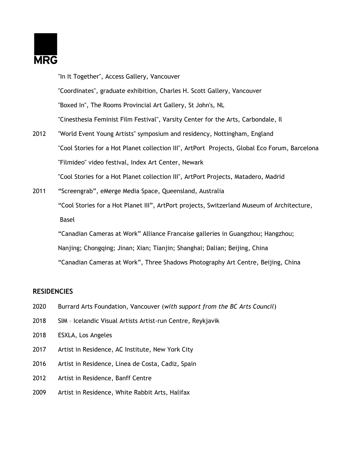

"In It Together", Access Gallery, Vancouver "Coordinates", graduate exhibition, Charles H. Scott Gallery, Vancouver "Boxed In", The Rooms Provincial Art Gallery, St John's, NL "Cinesthesia Feminist Film Festival", Varsity Center for the Arts, Carbondale, Il 2012 "World Event Young Artists" symposium and residency, Nottingham, England

- "Cool Stories for a Hot Planet collection III", ArtPort Projects, Global Eco Forum, Barcelona "Filmideo" video festival, Index Art Center, Newark "Cool Stories for a Hot Planet collection III", ArtPort Projects, Matadero, Madrid
- 2011 "Screengrab", eMerge Media Space, Queensland, Australia "Cool Stories for a Hot Planet III", ArtPort projects, Switzerland Museum of Architecture, Basel

"Canadian Cameras at Work" Alliance Francaise galleries in Guangzhou; Hangzhou; Nanjing; Chongqing; Jinan; Xian; Tianjin; Shanghai; Dalian; Beijing, China "Canadian Cameras at Work", Three Shadows Photography Art Centre, Beijing, China

## **RESIDENCIES**

- 2020 Burrard Arts Foundation, Vancouver (*with support from the BC Arts Council*)
- 2018 SIM Icelandic Visual Artists Artist-run Centre, Reykjavik
- 2018 ESXLA, Los Angeles
- 2017 Artist in Residence, AC Institute, New York City
- 2016 Artist in Residence, Linea de Costa, Cadiz, Spain
- 2012 Artist in Residence, Banff Centre
- 2009 Artist in Residence, White Rabbit Arts, Halifax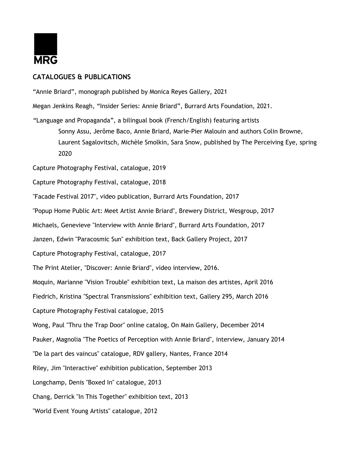

## **CATALOGUES & PUBLICATIONS**

"Annie Briard", monograph published by Monica Reyes Gallery, 2021

Megan Jenkins Reagh, "Insider Series: Annie Briard", Burrard Arts Foundation, 2021.

"Language and Propaganda", a bilingual book (French/English) featuring artists Sonny Assu, Jerôme Baco, Annie Briard, Marie-Pier Malouin and authors Colin Browne, Laurent Sagalovitsch, Michèle Smolkin, Sara Snow, published by The Perceiving Eye, spring 2020

Capture Photography Festival, catalogue, 2019

Capture Photography Festival, catalogue, 2018

"Facade Festival 2017", video publication, Burrard Arts Foundation, 2017

"Popup Home Public Art: Meet Artist Annie Briard", Brewery District, Wesgroup, 2017

Michaels, Genevieve "Interview with Annie Briard", Burrard Arts Foundation, 2017

Janzen, Edwin "Paracosmic Sun" exhibition text, Back Gallery Project, 2017

Capture Photography Festival, catalogue, 2017

The Print Atelier, "Discover: Annie Briard", video interview, 2016.

Moquin, Marianne "Vision Trouble" exhibition text, La maison des artistes, April 2016

Fiedrich, Kristina "Spectral Transmissions" exhibition text, Gallery 295, March 2016

Capture Photography Festival catalogue, 2015

Wong, Paul "Thru the Trap Door" online catalog, On Main Gallery, December 2014

Pauker, Magnolia "The Poetics of Perception with Annie Briard", interview, January 2014

"De la part des vaincus" catalogue, RDV gallery, Nantes, France 2014

Riley, Jim "Interactive" exhibition publication, September 2013

Longchamp, Denis "Boxed In" catalogue, 2013

Chang, Derrick "In This Together" exhibition text, 2013

"World Event Young Artists" catalogue, 2012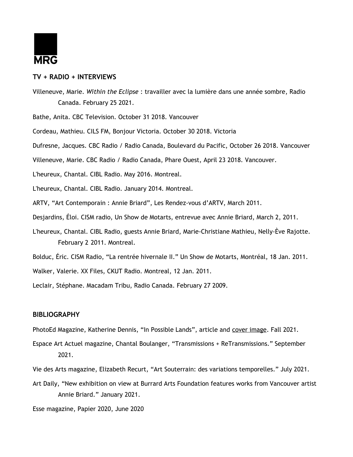

### **TV + RADIO + INTERVIEWS**

Villeneuve, Marie. *Within the Eclipse* : travailler avec la lumière dans une année sombre, Radio Canada. February 25 2021.

Bathe, Anita. CBC Television. October 31 2018. Vancouver

Cordeau, Mathieu. CILS FM, Bonjour Victoria. October 30 2018. Victoria

Dufresne, Jacques. CBC Radio / Radio Canada, Boulevard du Pacific, October 26 2018. Vancouver

Villeneuve, Marie. CBC Radio / Radio Canada, Phare Ouest, April 23 2018. Vancouver.

L'heureux, Chantal. CIBL Radio. May 2016. Montreal.

L'heureux, Chantal. CIBL Radio. January 2014. Montreal.

ARTV, "Art Contemporain : Annie Briard", Les Rendez-vous d'ARTV, March 2011.

Desjardins, Éloi. CISM radio, Un Show de Motarts, entrevue avec Annie Briard, March 2, 2011.

L'heureux, Chantal. CIBL Radio, guests Annie Briard, Marie-Christiane Mathieu, Nelly-Ève Rajotte. February 2 2011. Montreal.

Bolduc, Éric. CISM Radio, "La rentrée hivernale II." Un Show de Motarts, Montréal, 18 Jan. 2011.

Walker, Valerie. XX Files, CKUT Radio. Montreal, 12 Jan. 2011.

Leclair, Stéphane. Macadam Tribu, Radio Canada. February 27 2009.

#### **BIBLIOGRAPHY**

PhotoEd Magazine, Katherine Dennis, "In Possible Lands", article and cover image. Fall 2021.

Espace Art Actuel magazine, Chantal Boulanger, "Transmissions + ReTransmissions." September 2021.

Vie des Arts magazine, Elizabeth Recurt, "Art Souterrain: des variations temporelles." July 2021.

Art Daily, "New exhibition on view at Burrard Arts Foundation features works from Vancouver artist Annie Briard." January 2021.

Esse magazine, Papier 2020, June 2020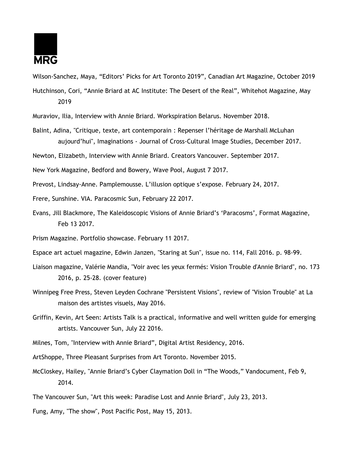

Wilson-Sanchez, Maya, "Editors' Picks for Art Toronto 2019", Canadian Art Magazine, October 2019

- Hutchinson, Cori, "Annie Briard at AC Institute: The Desert of the Real", Whitehot Magazine, May 2019
- Muraviov, Ilia, Interview with Annie Briard. Workspiration Belarus. November 2018.
- Balint, Adina, "Critique, texte, art contemporain : Repenser l'héritage de Marshall McLuhan aujourd'hui", Imaginations - Journal of Cross-Cultural Image Studies, December 2017.

Newton, Elizabeth, Interview with Annie Briard. Creators Vancouver. September 2017.

New York Magazine, Bedford and Bowery, Wave Pool, August 7 2017.

Prevost, Lindsay-Anne. Pamplemousse. L'illusion optique s'expose. February 24, 2017.

Frere, Sunshine. VIA. Paracosmic Sun, February 22 2017.

Evans, Jill Blackmore, The Kaleidoscopic Visions of Annie Briard's 'Paracosms', Format Magazine, Feb 13 2017.

Prism Magazine. Portfolio showcase. February 11 2017.

Espace art actuel magazine, Edwin Janzen, "Staring at Sun", issue no. 114, Fall 2016. p. 98-99.

- Liaison magazine, Valérie Mandia, "Voir avec les yeux fermés: Vision Trouble d'Annie Briard", no. 173 2016, p. 25-28. (cover feature)
- Winnipeg Free Press, Steven Leyden Cochrane "Persistent Visions", review of "Vision Trouble" at La maison des artistes visuels, May 2016.
- Griffin, Kevin, Art Seen: Artists Talk is a practical, informative and well written guide for emerging artists. Vancouver Sun, July 22 2016.
- Milnes, Tom, "Interview with Annie Briard", Digital Artist Residency, 2016.

ArtShoppe, Three Pleasant Surprises from Art Toronto. November 2015.

McCloskey, Hailey, "Annie Briard's Cyber Claymation Doll in "The Woods," Vandocument, Feb 9, 2014.

The Vancouver Sun, "Art this week: Paradise Lost and Annie Briard", July 23, 2013.

Fung, Amy, "The show", Post Pacific Post, May 15, 2013.